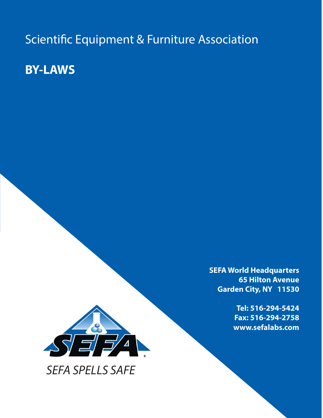Scientific Equipment & Furniture Association

**BY-LAWS**



*SEFA SPELLS SAFE*

**SEFA World Headquarters 65 Hilton Avenue Garden City, NY 11530**

> **Tel: 516-294-5424 Fax: 516-294-2758 www.sefalabs.com**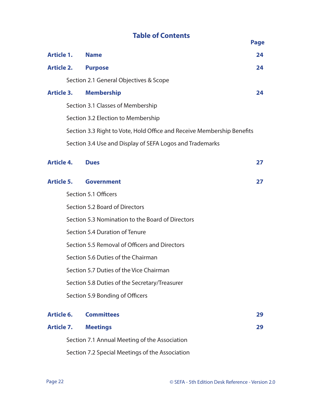# **Table of Contents** Page

|                                                 |                                         |                                                                        | raye |  |
|-------------------------------------------------|-----------------------------------------|------------------------------------------------------------------------|------|--|
| Article 1.                                      |                                         | <b>Name</b>                                                            | 24   |  |
| <b>Article 2.</b>                               |                                         | <b>Purpose</b>                                                         | 24   |  |
|                                                 |                                         | Section 2.1 General Objectives & Scope                                 |      |  |
| <b>Article 3.</b>                               |                                         | <b>Membership</b>                                                      | 24   |  |
|                                                 |                                         | Section 3.1 Classes of Membership                                      |      |  |
|                                                 |                                         | Section 3.2 Election to Membership                                     |      |  |
|                                                 |                                         | Section 3.3 Right to Vote, Hold Office and Receive Membership Benefits |      |  |
|                                                 |                                         | Section 3.4 Use and Display of SEFA Logos and Trademarks               |      |  |
| <b>Article 4.</b>                               |                                         | <b>Dues</b>                                                            | 27   |  |
| Article 5.                                      |                                         | <b>Government</b>                                                      | 27   |  |
|                                                 |                                         | Section 5.1 Officers                                                   |      |  |
|                                                 |                                         | Section 5.2 Board of Directors                                         |      |  |
|                                                 |                                         | Section 5.3 Nomination to the Board of Directors                       |      |  |
|                                                 | Section 5.4 Duration of Tenure          |                                                                        |      |  |
|                                                 |                                         | Section 5.5 Removal of Officers and Directors                          |      |  |
|                                                 |                                         | Section 5.6 Duties of the Chairman                                     |      |  |
|                                                 | Section 5.7 Duties of the Vice Chairman |                                                                        |      |  |
|                                                 |                                         | Section 5.8 Duties of the Secretary/Treasurer                          |      |  |
|                                                 |                                         | Section 5.9 Bonding of Officers                                        |      |  |
| Article 6.                                      |                                         | <b>Committees</b>                                                      | 29   |  |
| <b>Article 7.</b>                               |                                         | <b>Meetings</b>                                                        | 29   |  |
|                                                 |                                         | Section 7.1 Annual Meeting of the Association                          |      |  |
| Section 7.2 Special Meetings of the Association |                                         |                                                                        |      |  |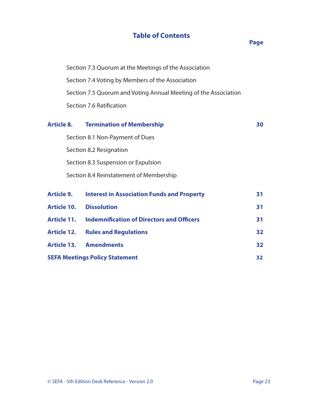# **Table of Contents**

#### *Page* **Page**

 Section 7.3 Quorum at the Meetings of the Association Section 7.4 Voting by Members of the Association Section 7.5 Quorum and Voting Annual Meeting of the Association Section 7.6 Ratification

|                                             | <b>Article 8. Termination of Membership</b>       | 30 |  |
|---------------------------------------------|---------------------------------------------------|----|--|
|                                             | Section 8.1 Non-Payment of Dues                   |    |  |
|                                             | Section 8.2 Resignation                           |    |  |
|                                             | Section 8.3 Suspension or Expulsion               |    |  |
|                                             | Section 8.4 Reinstatement of Membership           |    |  |
|                                             |                                                   |    |  |
| Article 9.                                  | <b>Interest in Association Funds and Property</b> | 31 |  |
| <b>Article 10.</b>                          | <b>Dissolution</b>                                | 31 |  |
| <b>Article 11.</b>                          | <b>Indemnification of Directors and Officers</b>  | 31 |  |
| <b>Article 12.</b>                          | <b>Rules and Regulations</b>                      | 32 |  |
|                                             | <b>Article 13. Amendments</b>                     | 32 |  |
| <b>SEFA Meetings Policy Statement</b><br>32 |                                                   |    |  |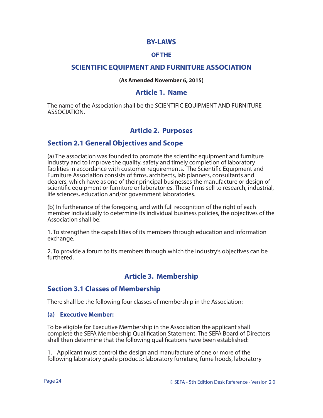#### **BY-LAWS**

#### **OF THE**

## **SCIENTIFIC EQUIPMENT AND FURNITURE ASSOCIATION**

#### **(As Amended November 6, 2015)**

#### **Article 1. Name**

The name of the Association shall be the SCIENTIFIC EQUIPMENT AND FURNITURE ASSOCIATION.

# **Article 2. Purposes**

## **Section 2.1 General Objectives and Scope**

(a) The association was founded to promote the scientific equipment and furniture industry and to improve the quality, safety and timely completion of laboratory facilities in accordance with customer requirements. The Scientific Equipment and Furniture Association consists of firms, architects, lab planners, consultants and dealers, which have as one of their principal businesses the manufacture or design of scientific equipment or furniture or laboratories. These firms sell to research, industrial, life sciences, education and/or government laboratories.

(b) In furtherance of the foregoing, and with full recognition of the right of each member individually to determine its individual business policies, the objectives of the Association shall be:

1. To strengthen the capabilities of its members through education and information exchange.

2. To provide a forum to its members through which the industry's objectives can be furthered.

# **Article 3. Membership**

#### **Section 3.1 Classes of Membership**

There shall be the following four classes of membership in the Association:

#### **(a) Executive Member:**

To be eligible for Executive Membership in the Association the applicant shall complete the SEFA Membership Qualification Statement. The SEFA Board of Directors shall then determine that the following qualifications have been established:

1. Applicant must control the design and manufacture of one or more of the following laboratory grade products: laboratory furniture, fume hoods, laboratory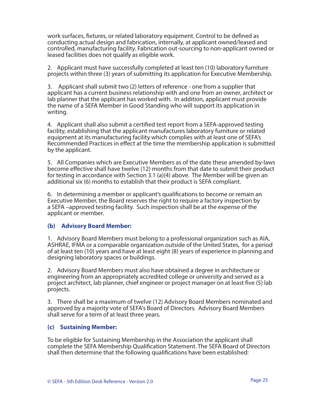work surfaces, fixtures, or related laboratory equipment. Control to be defined as conducting actual design and fabrication, internally, at applicant owned/leased and controlled, manufacturing facility. Fabrication out-sourcing to non-applicant owned or leased facilities does not qualify as eligible work.

2. Applicant must have successfully completed at least ten (10) laboratory furniture projects within three (3) years of submitting its application for Executive Membership.

3. Applicant shall submit two (2) letters of reference - one from a supplier that applicant has a current business relationship with and one from an owner, architect or lab planner that the applicant has worked with. In addition, applicant must provide the name of a SEFA Member in Good Standing who will support its application in writing.

4. Applicant shall also submit a certified test report from a SEFA-approved testing facility, establishing that the applicant manufactures laboratory furniture or related equipment at its manufacturing facility which complies with at least one of SEFA's Recommended Practices in effect at the time the membership application is submitted by the applicant.

5. All Companies which are Executive Members as of the date these amended by-laws become effective shall have twelve (12) months from that date to submit their product for testing in accordance with Section 3.1 (a)(4) above. The Member will be given an additional six (6) months to establish that their product is SEFA compliant.

6. In determining a member or applicant's qualifications to become or remain an Executive Member, the Board reserves the right to require a factory inspection by a SEFA –approved testing facility. Such inspection shall be at the expense of the applicant or member.

#### **(b) Advisory Board Member:**

1. Advisory Board Members must belong to a professional organization such as AIA, ASHRAE, IFMA or a comparable organization outside of the United States, for a period of at least ten (10) years and have at least eight (8) years of experience in planning and designing laboratory spaces or buildings.

2. Advisory Board Members must also have obtained a degree in architecture or engineering from an appropriately accredited college or university and served as a project architect, lab planner, chief engineer or project manager on at least five (5) lab projects.

3. There shall be a maximum of twelve (12) Advisory Board Members nominated and approved by a majority vote of SEFA's Board of Directors. Advisory Board Members shall serve for a term of at least three years.

#### **(c) Sustaining Member:**

To be eligible for Sustaining Membership in the Association the applicant shall complete the SEFA Membership Qualification Statement. The SEFA Board of Directors shall then determine that the following qualifications have been established: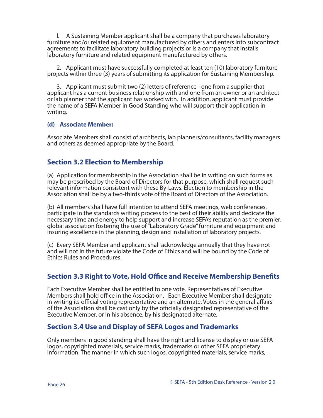l. A Sustaining Member applicant shall be a company that purchases laboratory furniture and/or related equipment manufactured by others and enters into subcontract agreements to facilitate laboratory building projects or is a company that installs laboratory furniture and related equipment manufactured by others.

 2. Applicant must have successfully completed at least ten (10) laboratory furniture projects within three (3) years of submitting its application for Sustaining Membership.

 3. Applicant must submit two (2) letters of reference - one from a supplier that applicant has a current business relationship with and one from an owner or an architect or lab planner that the applicant has worked with. In addition, applicant must provide the name of a SEFA Member in Good Standing who will support their application in writing.

#### **(d) Associate Member:**

Associate Members shall consist of architects, lab planners/consultants, facility managers and others as deemed appropriate by the Board.

# **Section 3.2 Election to Membership**

(a) Application for membership in the Association shall be in writing on such forms as may be prescribed by the Board of Directors for that purpose, which shall request such relevant information consistent with these By-Laws. Election to membership in the Association shall be by a two-thirds vote of the Board of Directors of the Association.

(b) All members shall have full intention to attend SEFA meetings, web conferences, participate in the standards writing process to the best of their ability and dedicate the necessary time and energy to help support and increase SEFA's reputation as the premier, global association fostering the use of "Laboratory Grade" furniture and equipment and insuring excellence in the planning, design and installation of laboratory projects.

(c) Every SEFA Member and applicant shall acknowledge annually that they have not and will not in the future violate the Code of Ethics and will be bound by the Code of Ethics Rules and Procedures.

# **Section 3.3 Right to Vote, Hold Office and Receive Membership Benefits**

Each Executive Member shall be entitled to one vote. Representatives of Executive Members shall hold office in the Association. Each Executive Member shall designate in writing its official voting representative and an alternate. Votes in the general affairs of the Association shall be cast only by the officially designated representative of the Executive Member, or in his absence, by his designated alternate.

# **Section 3.4 Use and Display of SEFA Logos and Trademarks**

Only members in good standing shall have the right and license to display or use SEFA logos, copyrighted materials, service marks, trademarks or other SEFA proprietary information. The manner in which such logos, copyrighted materials, service marks,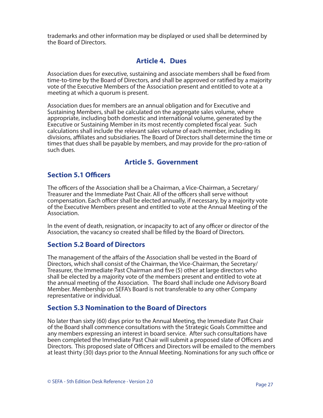trademarks and other information may be displayed or used shall be determined by the Board of Directors.

# **Article 4. Dues**

Association dues for executive, sustaining and associate members shall be fixed from time-to-time by the Board of Directors, and shall be approved or ratified by a majority vote of the Executive Members of the Association present and entitled to vote at a meeting at which a quorum is present.

Association dues for members are an annual obligation and for Executive and Sustaining Members, shall be calculated on the aggregate sales volume, where appropriate, including both domestic and international volume, generated by the Executive or Sustaining Member in its most recently completed fiscal year. Such calculations shall include the relevant sales volume of each member, including its divisions, affiliates and subsidiaries. The Board of Directors shall determine the time or times that dues shall be payable by members, and may provide for the pro-ration of such dues.

# **Article 5. Government**

# **Section 5.1 Officers**

The officers of the Association shall be a Chairman, a Vice-Chairman, a Secretary/ Treasurer and the Immediate Past Chair. All of the officers shall serve without compensation. Each officer shall be elected annually, if necessary, by a majority vote of the Executive Members present and entitled to vote at the Annual Meeting of the Association.

In the event of death, resignation, or incapacity to act of any officer or director of the Association, the vacancy so created shall be filled by the Board of Directors.

## **Section 5.2 Board of Directors**

The management of the affairs of the Association shall be vested in the Board of Directors, which shall consist of the Chairman, the Vice-Chairman, the Secretary/ Treasurer, the Immediate Past Chairman and five (5) other at large directors who shall be elected by a majority vote of the members present and entitled to vote at the annual meeting of the Association. The Board shall include one Advisory Board Member. Membership on SEFA's Board is not transferable to any other Company representative or individual.

## **Section 5.3 Nomination to the Board of Directors**

No later than sixty (60) days prior to the Annual Meeting, the Immediate Past Chair of the Board shall commence consultations with the Strategic Goals Committee and any members expressing an interest in board service. After such consultations have been completed the Immediate Past Chair will submit a proposed slate of Officers and Directors. This proposed slate of Officers and Directors will be emailed to the members at least thirty (30) days prior to the Annual Meeting. Nominations for any such office or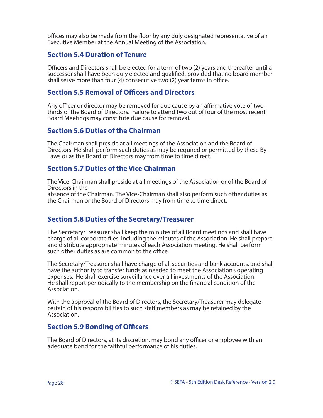offices may also be made from the floor by any duly designated representative of an Executive Member at the Annual Meeting of the Association.

## **Section 5.4 Duration of Tenure**

Officers and Directors shall be elected for a term of two (2) years and thereafter until a successor shall have been duly elected and qualified, provided that no board member shall serve more than four (4) consecutive two (2) year terms in office.

## **Section 5.5 Removal of Officers and Directors**

Any officer or director may be removed for due cause by an affirmative vote of twothirds of the Board of Directors. Failure to attend two out of four of the most recent Board Meetings may constitute due cause for removal.

#### **Section 5.6 Duties of the Chairman**

The Chairman shall preside at all meetings of the Association and the Board of Directors. He shall perform such duties as may be required or permitted by these By-Laws or as the Board of Directors may from time to time direct.

#### **Section 5.7 Duties of the Vice Chairman**

The Vice-Chairman shall preside at all meetings of the Association or of the Board of Directors in the absence of the Chairman. The Vice-Chairman shall also perform such other duties as the Chairman or the Board of Directors may from time to time direct.

#### **Section 5.8 Duties of the Secretary/Treasurer**

The Secretary/Treasurer shall keep the minutes of all Board meetings and shall have charge of all corporate files, including the minutes of the Association. He shall prepare and distribute appropriate minutes of each Association meeting. He shall perform such other duties as are common to the office.

The Secretary/Treasurer shall have charge of all securities and bank accounts, and shall have the authority to transfer funds as needed to meet the Association's operating expenses. He shall exercise surveillance over all investments of the Association. He shall report periodically to the membership on the financial condition of the Association.

With the approval of the Board of Directors, the Secretary/Treasurer may delegate certain of his responsibilities to such staff members as may be retained by the Association.

## **Section 5.9 Bonding of Officers**

The Board of Directors, at its discretion, may bond any officer or employee with an adequate bond for the faithful performance of his duties.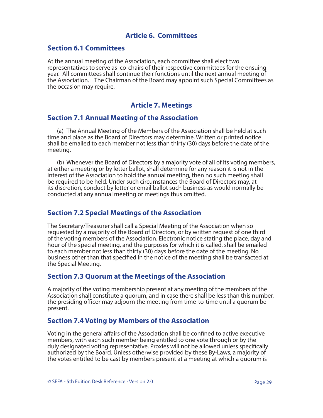## **Article 6. Committees**

#### **Section 6.1 Committees**

At the annual meeting of the Association, each committee shall elect two representatives to serve as co-chairs of their respective committees for the ensuing year. All committees shall continue their functions until the next annual meeting of the Association. The Chairman of the Board may appoint such Special Committees as the occasion may require.

## **Article 7. Meetings**

#### **Section 7.1 Annual Meeting of the Association**

 (a) The Annual Meeting of the Members of the Association shall be held at such time and place as the Board of Directors may determine. Written or printed notice shall be emailed to each member not less than thirty (30) days before the date of the meeting.

 (b) Whenever the Board of Directors by a majority vote of all of its voting members, at either a meeting or by letter ballot, shall determine for any reason it is not in the interest of the Association to hold the annual meeting, then no such meeting shall be required to be held. Under such circumstances the Board of Directors may, at its discretion, conduct by letter or email ballot such business as would normally be conducted at any annual meeting or meetings thus omitted.

#### **Section 7.2 Special Meetings of the Association**

The Secretary/Treasurer shall call a Special Meeting of the Association when so requested by a majority of the Board of Directors, or by written request of one third of the voting members of the Association. Electronic notice stating the place, day and hour of the special meeting, and the purposes for which it is called, shall be emailed to each member not less than thirty (30) days before the date of the meeting. No business other than that specified in the notice of the meeting shall be transacted at the Special Meeting.

#### **Section 7.3 Quorum at the Meetings of the Association**

A majority of the voting membership present at any meeting of the members of the Association shall constitute a quorum, and in case there shall be less than this number, the presiding officer may adjourn the meeting from time-to-time until a quorum be present.

#### **Section 7.4 Voting by Members of the Association**

Voting in the general affairs of the Association shall be confined to active executive members, with each such member being entitled to one vote through or by the duly designated voting representative. Proxies will not be allowed unless specifically authorized by the Board. Unless otherwise provided by these By-Laws, a majority of the votes entitled to be cast by members present at a meeting at which a quorum is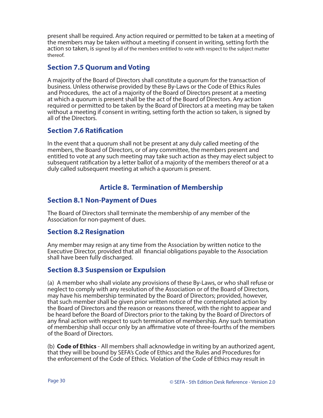present shall be required. Any action required or permitted to be taken at a meeting of the members may be taken without a meeting if consent in writing, setting forth the action so taken, is signed by all of the members entitled to vote with respect to the subject matter thereof.

# **Section 7.5 Quorum and Voting**

A majority of the Board of Directors shall constitute a quorum for the transaction of business. Unless otherwise provided by these By-Laws or the Code of Ethics Rules and Procedures, the act of a majority of the Board of Directors present at a meeting at which a quorum is present shall be the act of the Board of Directors. Any action required or permitted to be taken by the Board of Directors at a meeting may be taken without a meeting if consent in writing, setting forth the action so taken, is signed by all of the Directors.

# **Section 7.6 Ratification**

In the event that a quorum shall not be present at any duly called meeting of the members, the Board of Directors, or of any committee, the members present and entitled to vote at any such meeting may take such action as they may elect subject to subsequent ratification by a letter ballot of a majority of the members thereof or at a duly called subsequent meeting at which a quorum is present.

# **Article 8. Termination of Membership**

# **Section 8.1 Non-Payment of Dues**

The Board of Directors shall terminate the membership of any member of the Association for non-payment of dues.

## **Section 8.2 Resignation**

Any member may resign at any time from the Association by written notice to the Executive Director, provided that all financial obligations payable to the Association shall have been fully discharged.

# **Section 8.3 Suspension or Expulsion**

(a) A member who shall violate any provisions of these By-Laws, or who shall refuse or neglect to comply with any resolution of the Association or of the Board of Directors, may have his membership terminated by the Board of Directors; provided, however, that such member shall be given prior written notice of the contemplated action by the Board of Directors and the reason or reasons thereof, with the right to appear and be heard before the Board of Directors prior to the taking by the Board of Directors of any final action with respect to such termination of membership. Any such termination of membership shall occur only by an affirmative vote of three-fourths of the members of the Board of Directors.

(b) **Code of Ethics** - All members shall acknowledge in writing by an authorized agent, that they will be bound by SEFA's Code of Ethics and the Rules and Procedures for the enforcement of the Code of Ethics. Violation of the Code of Ethics may result in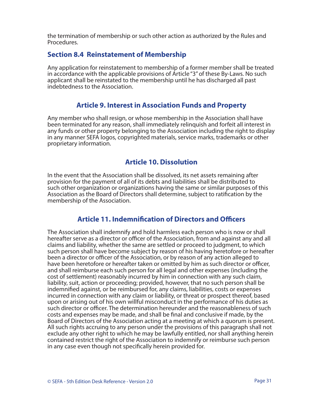the termination of membership or such other action as authorized by the Rules and Procedures.

## **Section 8.4 Reinstatement of Membership**

Any application for reinstatement to membership of a former member shall be treated in accordance with the applicable provisions of Article "3" of these By-Laws. No such applicant shall be reinstated to the membership until he has discharged all past indebtedness to the Association.

## **Article 9. Interest in Association Funds and Property**

Any member who shall resign, or whose membership in the Association shall have been terminated for any reason, shall immediately relinquish and forfeit all interest in any funds or other property belonging to the Association including the right to display in any manner SEFA logos, copyrighted materials, service marks, trademarks or other proprietary information.

## **Article 10. Dissolution**

In the event that the Association shall be dissolved, its net assets remaining after provision for the payment of all of its debts and liabilities shall be distributed to such other organization or organizations having the same or similar purposes of this Association as the Board of Directors shall determine, subject to ratification by the membership of the Association.

#### **Article 11. Indemnification of Directors and Officers**

The Association shall indemnify and hold harmless each person who is now or shall hereafter serve as a director or officer of the Association, from and against any and all claims and liability, whether the same are settled or proceed to judgment, to which such person shall have become subject by reason of his having heretofore or hereafter been a director or officer of the Association, or by reason of any action alleged to have been heretofore or hereafter taken or omitted by him as such director or officer, and shall reimburse each such person for all legal and other expenses (including the cost of settlement) reasonably incurred by him in connection with any such claim, liability, suit, action or proceeding; provided, however, that no such person shall be indemnified against, or be reimbursed for, any claims, liabilities, costs or expenses incurred in connection with any claim or liability, or threat or prospect thereof, based upon or arising out of his own willful misconduct in the performance of his duties as such director or officer. The determination hereunder and the reasonableness of such costs and expenses may be made, and shall be final and conclusive if made, by the Board of Directors of the Association acting at a meeting at which a quorum is present. All such rights accruing to any person under the provisions of this paragraph shall not exclude any other right to which he may be lawfully entitled, nor shall anything herein contained restrict the right of the Association to indemnify or reimburse such person in any case even though not specifically herein provided for.